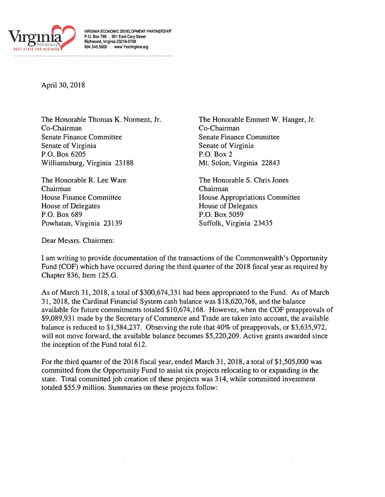

**VIRGINIA ECONOMIC DEVELOPMENT PARTNERSHIP P.O. Box 798 . 901 East Cary Street Rictlmond,** Virginia **23218-0798 804.545.5600 . www.YesVirginla.org** 

April 30, 2018

The Honorable Thomas K. Norment, Jr. Co-Chairman Senate Finance Committee Senate of Virginia P.O. Box 6205 Williamsburg, Virginia 23188

The Honorable R. Lee Ware Chairman House Finance Committee House of Delegates P.O. Box 689 Powhatan, Virginia 23139

The Honorable Emmett W. Hanger, Jr. Co-Chairman Senate Finance Committee Senate of Virginia P.O. Box 2 Mt. Solon, Virginia 22843

The Honorable S. Chris Jones Chairman House Appropriations Committee House of Delegates P.O. Box 5059 Suffolk, Virginia 23435

Dear Messrs. Chairmen:

I am writing to provide documentation of the transactions of the Commonwealth's Opportunity Fund (COF) which have occurred during the third quarter of the 2018 fiscal year as required by Chapter 836, Item 125.G.

As of March 31, 2018, a total of \$300,674,331 had been appropriated to the Fund. As of March 31, 2018, the Cardinal Financial System cash balance was \$18,620,768, and the balance available for future commitments totaled \$10,674,168. However, when the COF preapprovals of \$9,089,931 made by the Secretary of Commerce and Trade are taken into account, the available balance is reduced to \$1,584,237. Observing the rule that 40% of preapprovals, or \$3,635,972, will not move forward, the available balance becomes \$5,220,209. Active grants awarded since the inception of the Fund total 612.

For the third quarter of the 2018 fiscal year, ended March 31, 2018, a total of \$1,505,000 was committed from the Opportunity Fund to assist six projects relocating to or expanding in the state. Total committed job creation of these projects was 314, while committed investment totaled \$55.9 million. Summaries on these projects follow: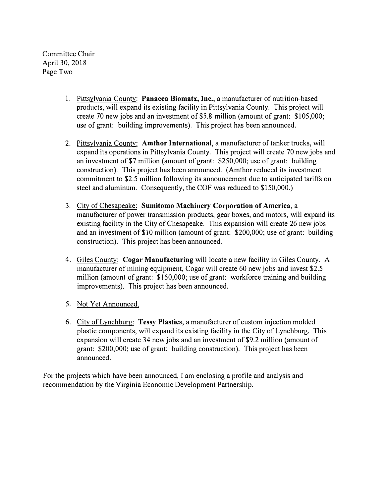Committee Chair April 30, 2018 Page Two

- 1. Pittsylvania County: **Panacea Biomatx, Inc.,** a manufacturer of nutrition-based products, will expand its existing facility in Pittsylvania County. This project will create 70 new jobs and an investment of \$5.8 million (amount of grant: \$105,000; use of grant: building improvements). This project has been announced.
- 2. Pittsylvania County: **Amthor International,** a manufacturer of tanker trucks, will expand its operations in Pittsylvania County. This project will create 70 new jobs and an investment of \$7 million (amount of grant: \$250,000; use of grant: building construction). This project has been announced. (Amthor reduced its investment commitment to \$2.5 million following its announcement due to anticipated tariffs on steel and aluminum. Consequently, the COF was reduced to \$150,000.)
- 3. City of Chesapeake: **Sumitomo Machinery Corporation of America,** a manufacturer of power transmission products, gear boxes, and motors, will expand its existing facility in the City of Chesapeake. This expansion will create 26 new jobs and an investment of \$10 million (amount of grant: \$200,000; use of grant: building construction). This project has been announced.
- 4. Giles County: **Cogar Manufacturing** will locate a new facility in Giles County. A manufacturer of mining equipment, Cogar will create 60 new jobs and invest \$2.5 million (amount of grant: \$150,000; use of grant: workforce training and building improvements). This project has been announced.
- 5. Not Yet Announced.
- 6. City of Lynchburg: **Tessy Plastics,** a manufacturer of custom injection molded plastic components, will expand its existing facility in the City of Lynchburg. This expansion will create 34 new jobs and an investment of \$9.2 million (amount of grant: \$200,000; use of grant: building construction). This project has been announced.

For the projects which have been announced, I am enclosing a profile and analysis and recommendation by the Virginia Economic Development Partnership.